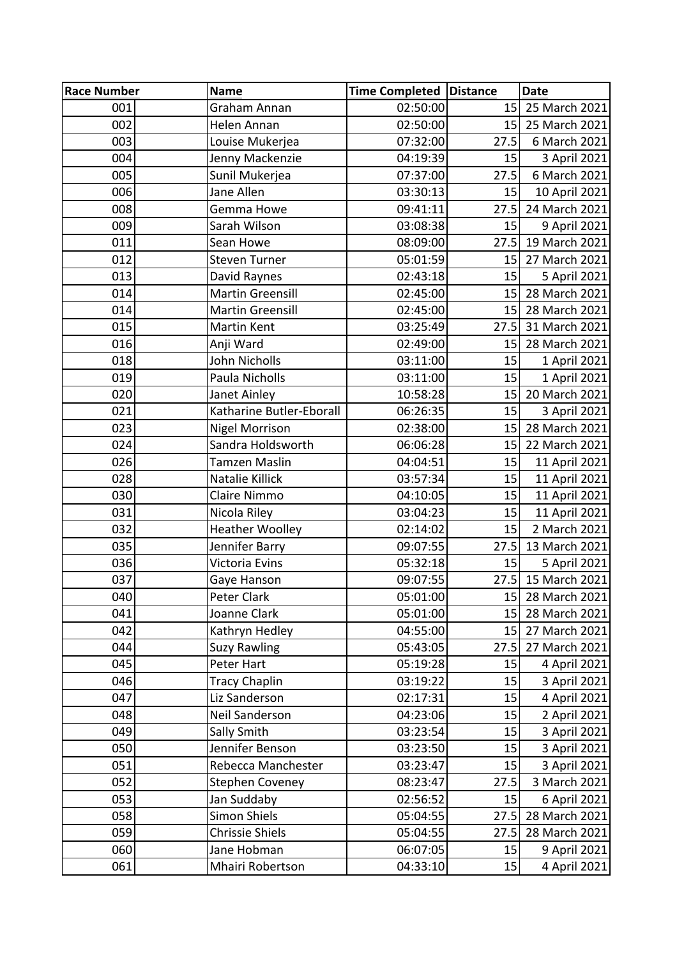| <b>Race Number</b> | <b>Name</b>                                  | Time Completed   Distance |                 | <b>Date</b>                  |
|--------------------|----------------------------------------------|---------------------------|-----------------|------------------------------|
| 001                | Graham Annan                                 | 02:50:00                  | 15              | 25 March 2021                |
| 002                | Helen Annan                                  | 02:50:00                  | 15              | 25 March 2021                |
| 003                | Louise Mukerjea                              | 07:32:00                  | 27.5            | 6 March 2021                 |
| 004                | Jenny Mackenzie                              | 04:19:39                  | 15              | 3 April 2021                 |
| 005                | Sunil Mukerjea                               | 07:37:00                  | 27.5            | 6 March 2021                 |
| 006                | Jane Allen                                   | 03:30:13                  | 15              | 10 April 2021                |
| 008                | Gemma Howe                                   | 09:41:11                  | 27.5            | 24 March 2021                |
| 009                | Sarah Wilson                                 | 03:08:38                  | 15              | 9 April 2021                 |
| 011                | Sean Howe                                    | 08:09:00                  | 27.5            | 19 March 2021                |
| 012                | <b>Steven Turner</b>                         | 05:01:59                  | 15              | 27 March 2021                |
| 013                | David Raynes                                 | 02:43:18                  | 15              | 5 April 2021                 |
| 014                | <b>Martin Greensill</b>                      | 02:45:00                  | 15              | 28 March 2021                |
| 014                | <b>Martin Greensill</b>                      | 02:45:00                  | 15 <sub>1</sub> | 28 March 2021                |
| 015                | <b>Martin Kent</b>                           | 03:25:49                  | 27.5            | 31 March 2021                |
| 016                | Anji Ward                                    | 02:49:00                  | 15              | 28 March 2021                |
| 018                | John Nicholls                                | 03:11:00                  | 15              | 1 April 2021                 |
| 019                | Paula Nicholls                               | 03:11:00                  | 15              | 1 April 2021                 |
| 020                | Janet Ainley                                 | 10:58:28                  | 15              | 20 March 2021                |
| 021                | Katharine Butler-Eborall                     | 06:26:35                  | 15              | 3 April 2021                 |
| 023                | <b>Nigel Morrison</b>                        | 02:38:00                  | 15              | 28 March 2021                |
| 024                | Sandra Holdsworth                            | 06:06:28                  | 15              | 22 March 2021                |
| 026                | <b>Tamzen Maslin</b>                         | 04:04:51                  | 15              | 11 April 2021                |
| 028                | Natalie Killick                              | 03:57:34                  | 15              | 11 April 2021                |
| 030                | Claire Nimmo                                 | 04:10:05                  | 15              | 11 April 2021                |
| 031                | Nicola Riley                                 | 03:04:23                  | 15              | 11 April 2021                |
| 032                | <b>Heather Woolley</b>                       | 02:14:02                  | 15              | 2 March 2021                 |
| 035                | Jennifer Barry                               | 09:07:55                  | 27.5            | 13 March 2021                |
| 036                | Victoria Evins                               | 05:32:18                  | 15              | 5 April 2021                 |
| 037                | Gaye Hanson                                  | 09:07:55                  | 27.5            | 15 March 2021                |
| 040                | Peter Clark                                  | 05:01:00                  | 15              | 28 March 2021                |
| 041                | Joanne Clark                                 | 05:01:00                  | 15              | 28 March 2021                |
| 042                | Kathryn Hedley                               | 04:55:00                  | 15              | 27 March 2021                |
| 044                | <b>Suzy Rawling</b>                          | 05:43:05                  | 27.5            | 27 March 2021                |
| 045                | Peter Hart                                   | 05:19:28                  | 15<br>15        | 4 April 2021                 |
| 046<br>047         | <b>Tracy Chaplin</b><br>Liz Sanderson        | 03:19:22                  |                 | 3 April 2021                 |
| 048                | Neil Sanderson                               | 02:17:31<br>04:23:06      | 15<br>15        | 4 April 2021                 |
| 049                | Sally Smith                                  |                           | 15              | 2 April 2021                 |
| 050                | Jennifer Benson                              | 03:23:54                  | 15              | 3 April 2021                 |
|                    |                                              | 03:23:50                  |                 | 3 April 2021                 |
| 051<br>052         | Rebecca Manchester<br><b>Stephen Coveney</b> | 03:23:47<br>08:23:47      | 15<br>27.5      | 3 April 2021<br>3 March 2021 |
| 053                | Jan Suddaby                                  | 02:56:52                  | 15              | 6 April 2021                 |
| 058                | <b>Simon Shiels</b>                          | 05:04:55                  | 27.5            | 28 March 2021                |
| 059                | <b>Chrissie Shiels</b>                       | 05:04:55                  | 27.5            | 28 March 2021                |
| 060                | Jane Hobman                                  | 06:07:05                  | 15              | 9 April 2021                 |
| 061                | Mhairi Robertson                             | 04:33:10                  | 15              | 4 April 2021                 |
|                    |                                              |                           |                 |                              |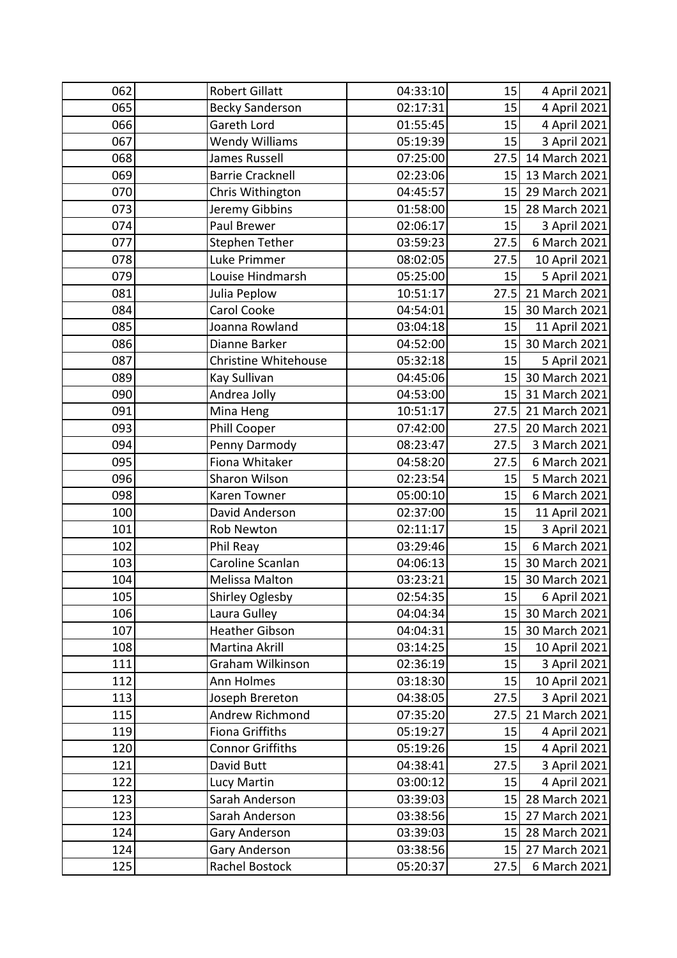| 062 | <b>Robert Gillatt</b>       | 04:33:10 | 15   | 4 April 2021  |
|-----|-----------------------------|----------|------|---------------|
| 065 | <b>Becky Sanderson</b>      | 02:17:31 | 15   | 4 April 2021  |
| 066 | Gareth Lord                 | 01:55:45 | 15   | 4 April 2021  |
| 067 | <b>Wendy Williams</b>       | 05:19:39 | 15   | 3 April 2021  |
| 068 | <b>James Russell</b>        | 07:25:00 | 27.5 | 14 March 2021 |
| 069 | <b>Barrie Cracknell</b>     | 02:23:06 | 15   | 13 March 2021 |
| 070 | Chris Withington            | 04:45:57 | 15   | 29 March 2021 |
| 073 | Jeremy Gibbins              | 01:58:00 | 15   | 28 March 2021 |
| 074 | Paul Brewer                 | 02:06:17 | 15   | 3 April 2021  |
| 077 | <b>Stephen Tether</b>       | 03:59:23 | 27.5 | 6 March 2021  |
| 078 | Luke Primmer                | 08:02:05 | 27.5 | 10 April 2021 |
| 079 | Louise Hindmarsh            | 05:25:00 | 15   | 5 April 2021  |
| 081 | Julia Peplow                | 10:51:17 | 27.5 | 21 March 2021 |
| 084 | Carol Cooke                 | 04:54:01 | 15   | 30 March 2021 |
| 085 | Joanna Rowland              | 03:04:18 | 15   | 11 April 2021 |
| 086 | Dianne Barker               | 04:52:00 | 15   | 30 March 2021 |
| 087 | <b>Christine Whitehouse</b> | 05:32:18 | 15   | 5 April 2021  |
| 089 | Kay Sullivan                | 04:45:06 | 15   | 30 March 2021 |
| 090 | Andrea Jolly                | 04:53:00 | 15   | 31 March 2021 |
| 091 | Mina Heng                   | 10:51:17 | 27.5 | 21 March 2021 |
| 093 | <b>Phill Cooper</b>         | 07:42:00 | 27.5 | 20 March 2021 |
| 094 | Penny Darmody               | 08:23:47 | 27.5 | 3 March 2021  |
| 095 | Fiona Whitaker              | 04:58:20 | 27.5 | 6 March 2021  |
| 096 | Sharon Wilson               | 02:23:54 | 15   | 5 March 2021  |
| 098 | Karen Towner                | 05:00:10 | 15   | 6 March 2021  |
| 100 | David Anderson              | 02:37:00 | 15   | 11 April 2021 |
| 101 | <b>Rob Newton</b>           | 02:11:17 | 15   | 3 April 2021  |
| 102 | Phil Reay                   | 03:29:46 | 15   | 6 March 2021  |
| 103 | Caroline Scanlan            | 04:06:13 | 15   | 30 March 2021 |
| 104 | <b>Melissa Malton</b>       | 03:23:21 | 15   | 30 March 2021 |
| 105 | Shirley Oglesby             | 02:54:35 | 15   | 6 April 2021  |
| 106 | Laura Gulley                | 04:04:34 | 15   | 30 March 2021 |
| 107 | <b>Heather Gibson</b>       | 04:04:31 | 15   | 30 March 2021 |
| 108 | Martina Akrill              | 03:14:25 | 15   | 10 April 2021 |
| 111 | Graham Wilkinson            | 02:36:19 | 15   | 3 April 2021  |
| 112 | <b>Ann Holmes</b>           | 03:18:30 | 15   | 10 April 2021 |
| 113 | Joseph Brereton             | 04:38:05 | 27.5 | 3 April 2021  |
| 115 | Andrew Richmond             | 07:35:20 | 27.5 | 21 March 2021 |
| 119 | <b>Fiona Griffiths</b>      | 05:19:27 | 15   | 4 April 2021  |
| 120 | <b>Connor Griffiths</b>     | 05:19:26 | 15   | 4 April 2021  |
| 121 | David Butt                  | 04:38:41 | 27.5 | 3 April 2021  |
| 122 | Lucy Martin                 | 03:00:12 | 15   | 4 April 2021  |
| 123 | Sarah Anderson              | 03:39:03 | 15   | 28 March 2021 |
| 123 | Sarah Anderson              | 03:38:56 | 15   | 27 March 2021 |
| 124 | Gary Anderson               | 03:39:03 | 15   | 28 March 2021 |
| 124 | Gary Anderson               | 03:38:56 | 15   | 27 March 2021 |
| 125 | Rachel Bostock              | 05:20:37 | 27.5 | 6 March 2021  |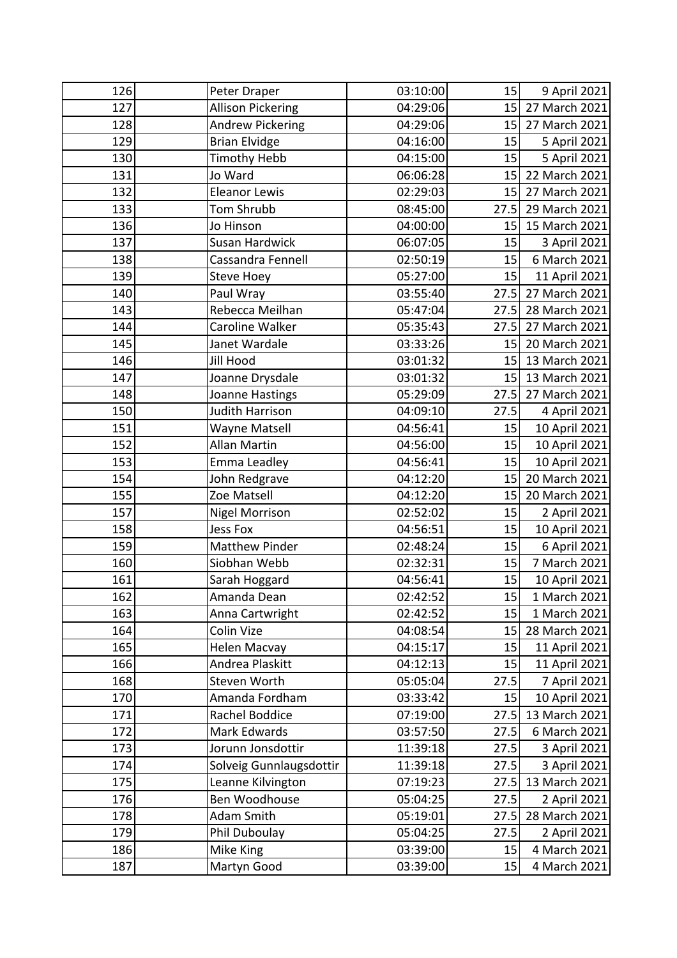| 126 | Peter Draper             | 03:10:00 | 15              | 9 April 2021  |
|-----|--------------------------|----------|-----------------|---------------|
| 127 | <b>Allison Pickering</b> | 04:29:06 | 15              | 27 March 2021 |
| 128 | <b>Andrew Pickering</b>  | 04:29:06 | 15              | 27 March 2021 |
| 129 | <b>Brian Elvidge</b>     | 04:16:00 | 15              | 5 April 2021  |
| 130 | <b>Timothy Hebb</b>      | 04:15:00 | 15              | 5 April 2021  |
| 131 | Jo Ward                  | 06:06:28 | 15              | 22 March 2021 |
| 132 | <b>Eleanor Lewis</b>     | 02:29:03 | 15              | 27 March 2021 |
| 133 | <b>Tom Shrubb</b>        | 08:45:00 | 27.5            | 29 March 2021 |
| 136 | Jo Hinson                | 04:00:00 | 15              | 15 March 2021 |
| 137 | <b>Susan Hardwick</b>    | 06:07:05 | 15              | 3 April 2021  |
| 138 | Cassandra Fennell        | 02:50:19 | 15              | 6 March 2021  |
| 139 | <b>Steve Hoey</b>        | 05:27:00 | 15              | 11 April 2021 |
| 140 | Paul Wray                | 03:55:40 | 27.5            | 27 March 2021 |
| 143 | Rebecca Meilhan          | 05:47:04 | 27.5            | 28 March 2021 |
| 144 | Caroline Walker          | 05:35:43 | 27.5            | 27 March 2021 |
| 145 | Janet Wardale            | 03:33:26 | 15 <sup>1</sup> | 20 March 2021 |
| 146 | Jill Hood                | 03:01:32 | 15              | 13 March 2021 |
| 147 | Joanne Drysdale          | 03:01:32 | 15              | 13 March 2021 |
| 148 | Joanne Hastings          | 05:29:09 | 27.5            | 27 March 2021 |
| 150 | <b>Judith Harrison</b>   | 04:09:10 | 27.5            | 4 April 2021  |
| 151 | Wayne Matsell            | 04:56:41 | 15              | 10 April 2021 |
| 152 | <b>Allan Martin</b>      | 04:56:00 | 15              | 10 April 2021 |
| 153 | Emma Leadley             | 04:56:41 | 15              | 10 April 2021 |
| 154 | John Redgrave            | 04:12:20 | 15              | 20 March 2021 |
| 155 | Zoe Matsell              | 04:12:20 | 15              | 20 March 2021 |
| 157 | <b>Nigel Morrison</b>    | 02:52:02 | 15              | 2 April 2021  |
| 158 | <b>Jess Fox</b>          | 04:56:51 | 15              | 10 April 2021 |
| 159 | <b>Matthew Pinder</b>    | 02:48:24 | 15              | 6 April 2021  |
| 160 | Siobhan Webb             | 02:32:31 | 15              | 7 March 2021  |
| 161 | Sarah Hoggard            | 04:56:41 | 15              | 10 April 2021 |
| 162 | Amanda Dean              | 02:42:52 | 15              | 1 March 2021  |
| 163 | Anna Cartwright          | 02:42:52 | 15              | 1 March 2021  |
| 164 | Colin Vize               | 04:08:54 | 15              | 28 March 2021 |
| 165 | <b>Helen Macvay</b>      | 04:15:17 | 15              | 11 April 2021 |
| 166 | Andrea Plaskitt          | 04:12:13 | 15              | 11 April 2021 |
| 168 | Steven Worth             | 05:05:04 | 27.5            | 7 April 2021  |
| 170 | Amanda Fordham           | 03:33:42 | 15              | 10 April 2021 |
| 171 | Rachel Boddice           | 07:19:00 | 27.5            | 13 March 2021 |
| 172 | Mark Edwards             | 03:57:50 | 27.5            | 6 March 2021  |
| 173 | Jorunn Jonsdottir        | 11:39:18 | 27.5            | 3 April 2021  |
| 174 | Solveig Gunnlaugsdottir  | 11:39:18 | 27.5            | 3 April 2021  |
| 175 | Leanne Kilvington        | 07:19:23 | 27.5            | 13 March 2021 |
| 176 | Ben Woodhouse            | 05:04:25 | 27.5            | 2 April 2021  |
| 178 | Adam Smith               | 05:19:01 | 27.5            | 28 March 2021 |
| 179 | Phil Duboulay            | 05:04:25 | 27.5            | 2 April 2021  |
| 186 | Mike King                | 03:39:00 | 15              | 4 March 2021  |
| 187 | Martyn Good              | 03:39:00 | 15              | 4 March 2021  |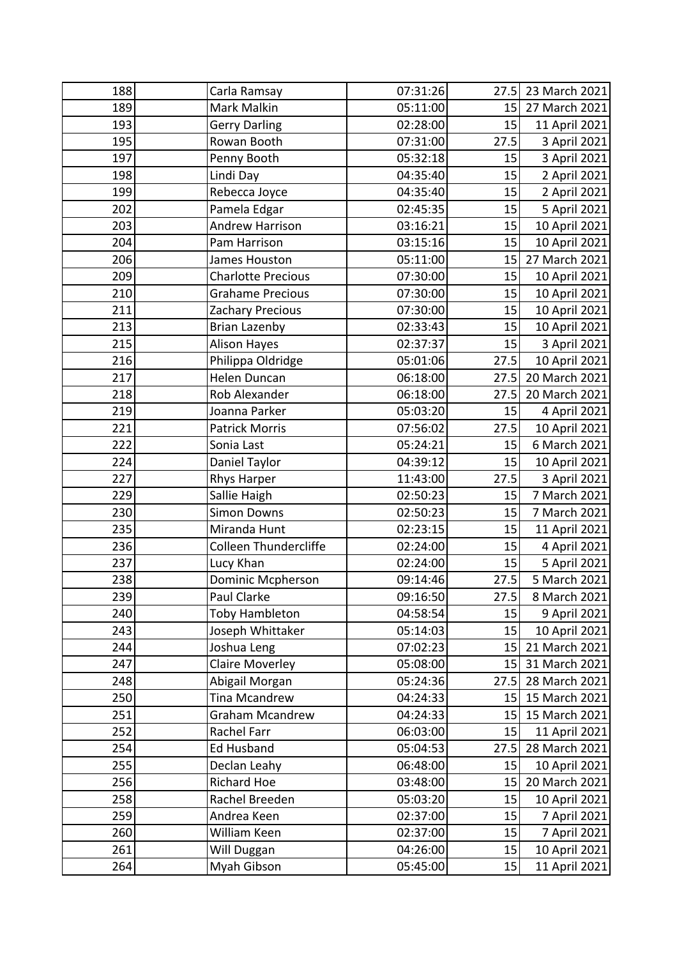| 188 | Carla Ramsay                 | 07:31:26 | 27.5 | 23 March 2021 |
|-----|------------------------------|----------|------|---------------|
| 189 | Mark Malkin                  | 05:11:00 | 15   | 27 March 2021 |
| 193 | <b>Gerry Darling</b>         | 02:28:00 | 15   | 11 April 2021 |
| 195 | Rowan Booth                  | 07:31:00 | 27.5 | 3 April 2021  |
| 197 | Penny Booth                  | 05:32:18 | 15   | 3 April 2021  |
| 198 | Lindi Day                    | 04:35:40 | 15   | 2 April 2021  |
| 199 | Rebecca Joyce                | 04:35:40 | 15   | 2 April 2021  |
| 202 | Pamela Edgar                 | 02:45:35 | 15   | 5 April 2021  |
| 203 | <b>Andrew Harrison</b>       | 03:16:21 | 15   | 10 April 2021 |
| 204 | Pam Harrison                 | 03:15:16 | 15   | 10 April 2021 |
| 206 | James Houston                | 05:11:00 | 15   | 27 March 2021 |
| 209 | <b>Charlotte Precious</b>    | 07:30:00 | 15   | 10 April 2021 |
| 210 | <b>Grahame Precious</b>      | 07:30:00 | 15   | 10 April 2021 |
| 211 | Zachary Precious             | 07:30:00 | 15   | 10 April 2021 |
| 213 | <b>Brian Lazenby</b>         | 02:33:43 | 15   | 10 April 2021 |
| 215 | <b>Alison Hayes</b>          | 02:37:37 | 15   | 3 April 2021  |
| 216 | Philippa Oldridge            | 05:01:06 | 27.5 | 10 April 2021 |
| 217 | Helen Duncan                 | 06:18:00 | 27.5 | 20 March 2021 |
| 218 | Rob Alexander                | 06:18:00 | 27.5 | 20 March 2021 |
| 219 | Joanna Parker                | 05:03:20 | 15   | 4 April 2021  |
| 221 | <b>Patrick Morris</b>        | 07:56:02 | 27.5 | 10 April 2021 |
| 222 | Sonia Last                   | 05:24:21 | 15   | 6 March 2021  |
| 224 | Daniel Taylor                | 04:39:12 | 15   | 10 April 2021 |
| 227 | Rhys Harper                  | 11:43:00 | 27.5 | 3 April 2021  |
| 229 | Sallie Haigh                 | 02:50:23 | 15   | 7 March 2021  |
| 230 | <b>Simon Downs</b>           | 02:50:23 | 15   | 7 March 2021  |
| 235 | Miranda Hunt                 | 02:23:15 | 15   | 11 April 2021 |
| 236 | <b>Colleen Thundercliffe</b> | 02:24:00 | 15   | 4 April 2021  |
| 237 | Lucy Khan                    | 02:24:00 | 15   | 5 April 2021  |
| 238 | <b>Dominic Mcpherson</b>     | 09:14:46 | 27.5 | 5 March 2021  |
| 239 | Paul Clarke                  | 09:16:50 | 27.5 | 8 March 2021  |
| 240 | <b>Toby Hambleton</b>        | 04:58:54 | 15   | 9 April 2021  |
| 243 | Joseph Whittaker             | 05:14:03 | 15   | 10 April 2021 |
| 244 | Joshua Leng                  | 07:02:23 | 15   | 21 March 2021 |
| 247 | <b>Claire Moverley</b>       | 05:08:00 | 15   | 31 March 2021 |
| 248 | Abigail Morgan               | 05:24:36 | 27.5 | 28 March 2021 |
| 250 | <b>Tina Mcandrew</b>         | 04:24:33 | 15   | 15 March 2021 |
| 251 | <b>Graham Mcandrew</b>       | 04:24:33 | 15   | 15 March 2021 |
| 252 | Rachel Farr                  | 06:03:00 | 15   | 11 April 2021 |
| 254 | <b>Ed Husband</b>            | 05:04:53 | 27.5 | 28 March 2021 |
| 255 | Declan Leahy                 | 06:48:00 | 15   | 10 April 2021 |
| 256 | <b>Richard Hoe</b>           | 03:48:00 | 15   | 20 March 2021 |
| 258 | Rachel Breeden               | 05:03:20 | 15   | 10 April 2021 |
| 259 | Andrea Keen                  | 02:37:00 | 15   | 7 April 2021  |
| 260 | William Keen                 | 02:37:00 | 15   | 7 April 2021  |
| 261 | Will Duggan                  | 04:26:00 | 15   | 10 April 2021 |
| 264 | Myah Gibson                  | 05:45:00 | 15   | 11 April 2021 |